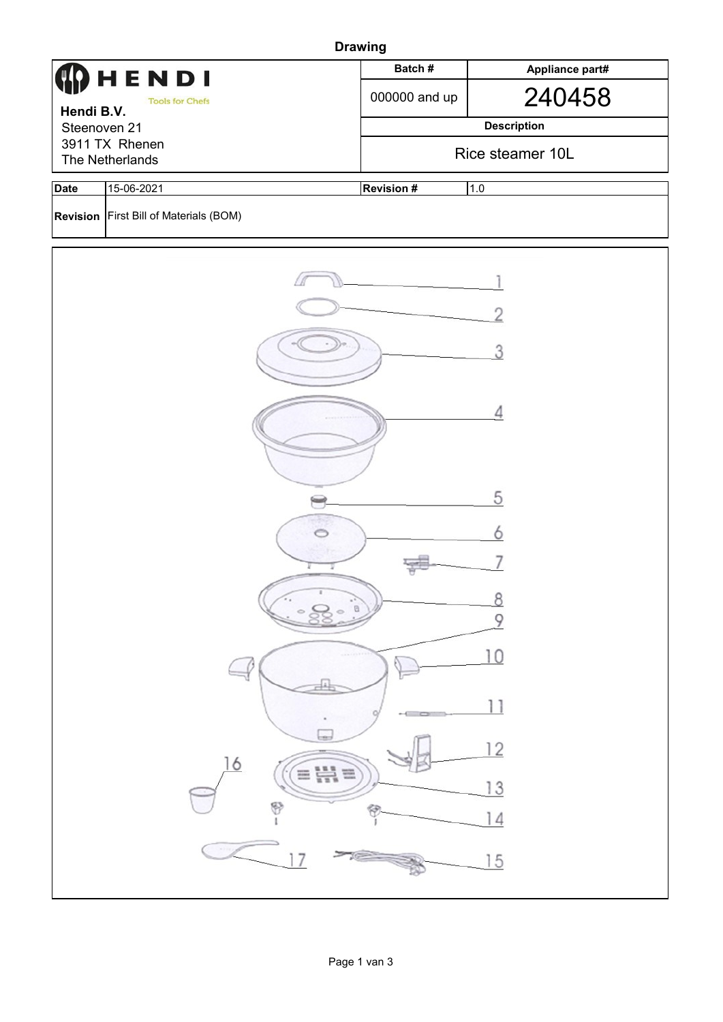| <b>Drawing</b>             |                                        |                   |                    |  |  |  |  |  |
|----------------------------|----------------------------------------|-------------------|--------------------|--|--|--|--|--|
|                            | HENDI                                  | Batch#            | Appliance part#    |  |  |  |  |  |
| <b>Tools for Chefs</b>     |                                        | 000000 and up     | 240458             |  |  |  |  |  |
| Hendi B.V.<br>Steenoven 21 |                                        |                   | <b>Description</b> |  |  |  |  |  |
| 3911 TX Rhenen             |                                        |                   | Rice steamer 10L   |  |  |  |  |  |
| The Netherlands            |                                        |                   |                    |  |  |  |  |  |
| <b>Date</b>                | 15-06-2021                             | <b>Revision #</b> | 1.0                |  |  |  |  |  |
|                            | Revision First Bill of Materials (BOM) |                   |                    |  |  |  |  |  |
|                            |                                        |                   |                    |  |  |  |  |  |
|                            |                                        |                   |                    |  |  |  |  |  |
|                            |                                        |                   |                    |  |  |  |  |  |
|                            |                                        |                   |                    |  |  |  |  |  |
|                            |                                        |                   | Δ                  |  |  |  |  |  |
|                            |                                        |                   |                    |  |  |  |  |  |
|                            |                                        |                   | 5                  |  |  |  |  |  |
|                            |                                        |                   |                    |  |  |  |  |  |
|                            |                                        |                   |                    |  |  |  |  |  |
|                            |                                        | $\mathbb G$       | ρ<br>9             |  |  |  |  |  |
|                            |                                        |                   |                    |  |  |  |  |  |
|                            |                                        |                   | 10                 |  |  |  |  |  |
|                            |                                        |                   | 11                 |  |  |  |  |  |
|                            |                                        |                   | 12                 |  |  |  |  |  |
|                            | 16<br>$\equiv \frac{111}{111} \equiv$  |                   | 13                 |  |  |  |  |  |
|                            | 8                                      |                   |                    |  |  |  |  |  |
|                            | 7                                      |                   | $\overline{5}$     |  |  |  |  |  |
|                            |                                        |                   |                    |  |  |  |  |  |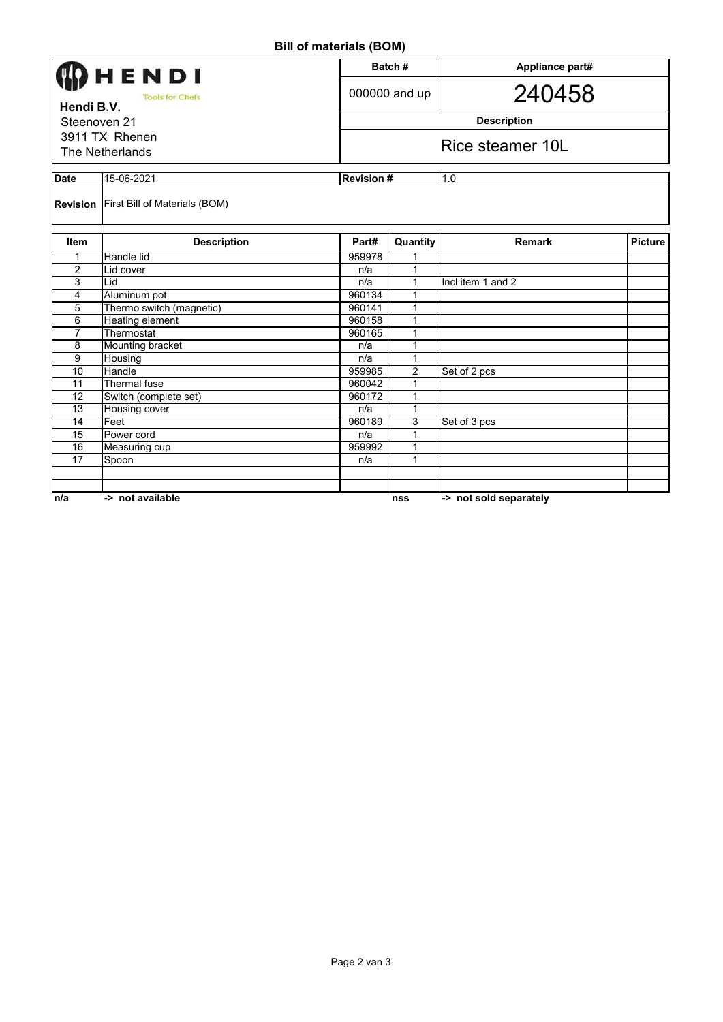## **Bill of materials (BOM)**

| וייטען טווייט וויש (טווע                             |                                               |        |                         |                        |                |  |  |  |
|------------------------------------------------------|-----------------------------------------------|--------|-------------------------|------------------------|----------------|--|--|--|
| <b>HENDI</b><br><b>Tools for Chefs</b><br>Hendi B.V. |                                               |        | Batch#                  | Appliance part#        |                |  |  |  |
|                                                      |                                               |        | 000000 and up           | 240458                 |                |  |  |  |
| Steenoven 21                                         |                                               |        | <b>Description</b>      |                        |                |  |  |  |
| 3911 TX Rhenen                                       |                                               |        |                         |                        |                |  |  |  |
| The Netherlands                                      |                                               |        | Rice steamer 10L        |                        |                |  |  |  |
|                                                      |                                               |        |                         |                        |                |  |  |  |
| <b>Date</b>                                          | 15-06-2021                                    |        | <b>Revision#</b><br>1.0 |                        |                |  |  |  |
|                                                      | <b>Revision First Bill of Materials (BOM)</b> |        |                         |                        |                |  |  |  |
| <b>Item</b>                                          | <b>Description</b>                            | Part#  | Quantity                | <b>Remark</b>          | <b>Picture</b> |  |  |  |
| 1                                                    | Handle lid                                    | 959978 |                         |                        |                |  |  |  |
| 2                                                    | Lid cover                                     | n/a    | 1                       |                        |                |  |  |  |
| 3                                                    | Lid                                           | n/a    | $\mathbf{1}$            | Incl item 1 and 2      |                |  |  |  |
| $\overline{4}$                                       | Aluminum pot                                  | 960134 | 1                       |                        |                |  |  |  |
| 5                                                    | Thermo switch (magnetic)                      | 960141 | 1                       |                        |                |  |  |  |
| 6                                                    | Heating element                               | 960158 | 1                       |                        |                |  |  |  |
| $\overline{7}$                                       | Thermostat                                    | 960165 | 1                       |                        |                |  |  |  |
| 8                                                    | Mounting bracket                              | n/a    | 1                       |                        |                |  |  |  |
| 9                                                    | Housing                                       | n/a    | 1                       |                        |                |  |  |  |
| 10                                                   | Handle                                        | 959985 | 2                       | Set of 2 pcs           |                |  |  |  |
| 11                                                   | Thermal fuse                                  | 960042 | 1                       |                        |                |  |  |  |
| 12                                                   | Switch (complete set)                         | 960172 | 1                       |                        |                |  |  |  |
| 13                                                   | Housing cover                                 | n/a    | 1                       |                        |                |  |  |  |
| 14                                                   | Feet                                          | 960189 | 3                       | Set of 3 pcs           |                |  |  |  |
| 15                                                   | Power cord                                    | n/a    | 1                       |                        |                |  |  |  |
| 16                                                   | Measuring cup                                 | 959992 | 1                       |                        |                |  |  |  |
| 17                                                   | Spoon                                         | n/a    | 1                       |                        |                |  |  |  |
|                                                      |                                               |        |                         |                        |                |  |  |  |
|                                                      |                                               |        |                         |                        |                |  |  |  |
| n/a                                                  | -> not available                              |        | nss                     | -> not sold separately |                |  |  |  |